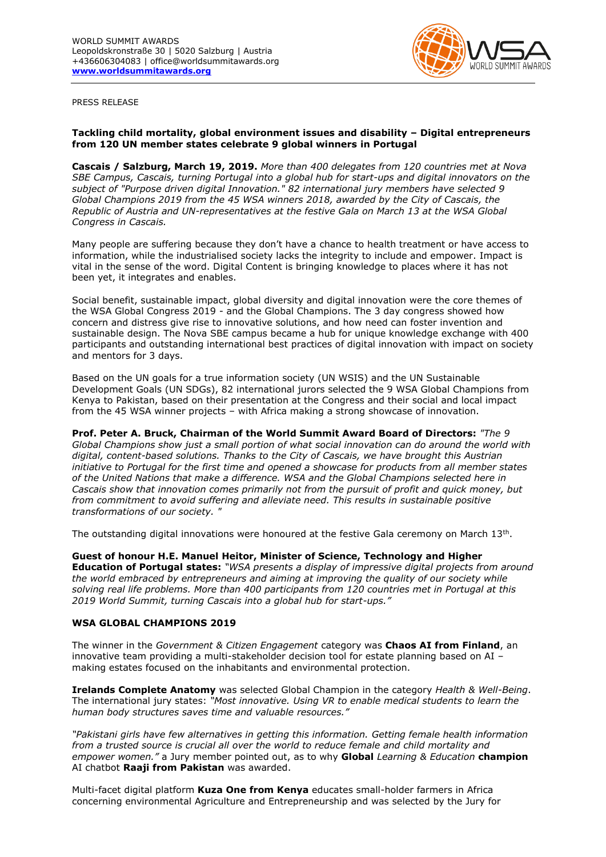

PRESS RELEASE

## **Tackling child mortality, global environment issues and disability – Digital entrepreneurs from 120 UN member states celebrate 9 global winners in Portugal**

**Cascais / Salzburg, March 19, 2019.** *More than 400 delegates from 120 countries met at Nova SBE Campus, Cascais, turning Portugal into a global hub for start-ups and digital innovators on the subject of "Purpose driven digital Innovation." 82 international jury members have selected 9 Global Champions 2019 from the 45 WSA winners 2018, awarded by the City of Cascais, the Republic of Austria and UN-representatives at the festive Gala on March 13 at the WSA Global Congress in Cascais.* 

Many people are suffering because they don't have a chance to health treatment or have access to information, while the industrialised society lacks the integrity to include and empower. Impact is vital in the sense of the word. Digital Content is bringing knowledge to places where it has not been yet, it integrates and enables.

Social benefit, sustainable impact, global diversity and digital innovation were the core themes of the WSA Global Congress 2019 - and the Global Champions. The 3 day congress showed how concern and distress give rise to innovative solutions, and how need can foster invention and sustainable design. The Nova SBE campus became a hub for unique knowledge exchange with 400 participants and outstanding international best practices of digital innovation with impact on society and mentors for 3 days.

Based on the UN goals for a true information society (UN WSIS) and the UN Sustainable Development Goals (UN SDGs), 82 international jurors selected the 9 WSA Global Champions from Kenya to Pakistan, based on their presentation at the Congress and their social and local impact from the 45 WSA winner projects – with Africa making a strong showcase of innovation.

**Prof. Peter A. Bruck, Chairman of the World Summit Award Board of Directors:** *"The 9 Global Champions show just a small portion of what social innovation can do around the world with digital, content-based solutions. Thanks to the City of Cascais, we have brought this Austrian initiative to Portugal for the first time and opened a showcase for products from all member states of the United Nations that make a difference. WSA and the Global Champions selected here in Cascais show that innovation comes primarily not from the pursuit of profit and quick money, but from commitment to avoid suffering and alleviate need. This results in sustainable positive transformations of our society. "*

The outstanding digital innovations were honoured at the festive Gala ceremony on March  $13<sup>th</sup>$ .

**Guest of honour H.E. Manuel Heitor, Minister of Science, Technology and Higher Education of Portugal states:** *"WSA presents a display of impressive digital projects from around the world embraced by entrepreneurs and aiming at improving the quality of our society while solving real life problems. More than 400 participants from 120 countries met in Portugal at this 2019 World Summit, turning Cascais into a global hub for start-ups."*

## **WSA GLOBAL CHAMPIONS 2019**

The winner in the *Government & Citizen Engagement* category was **Chaos AI from Finland**, an innovative team providing a multi-stakeholder decision tool for estate planning based on AI – making estates focused on the inhabitants and environmental protection.

**Irelands Complete Anatomy** was selected Global Champion in the category *Health & Well-Being*. The international jury states: *"Most innovative. Using VR to enable medical students to learn the human body structures saves time and valuable resources."*

*"Pakistani girls have few alternatives in getting this information. Getting female health information from a trusted source is crucial all over the world to reduce female and child mortality and empower women."* a Jury member pointed out, as to why **Global** *Learning & Education* **champion**  AI chatbot **Raaji from Pakistan** was awarded.

Multi-facet digital platform **Kuza One from Kenya** educates small-holder farmers in Africa concerning environmental Agriculture and Entrepreneurship and was selected by the Jury for